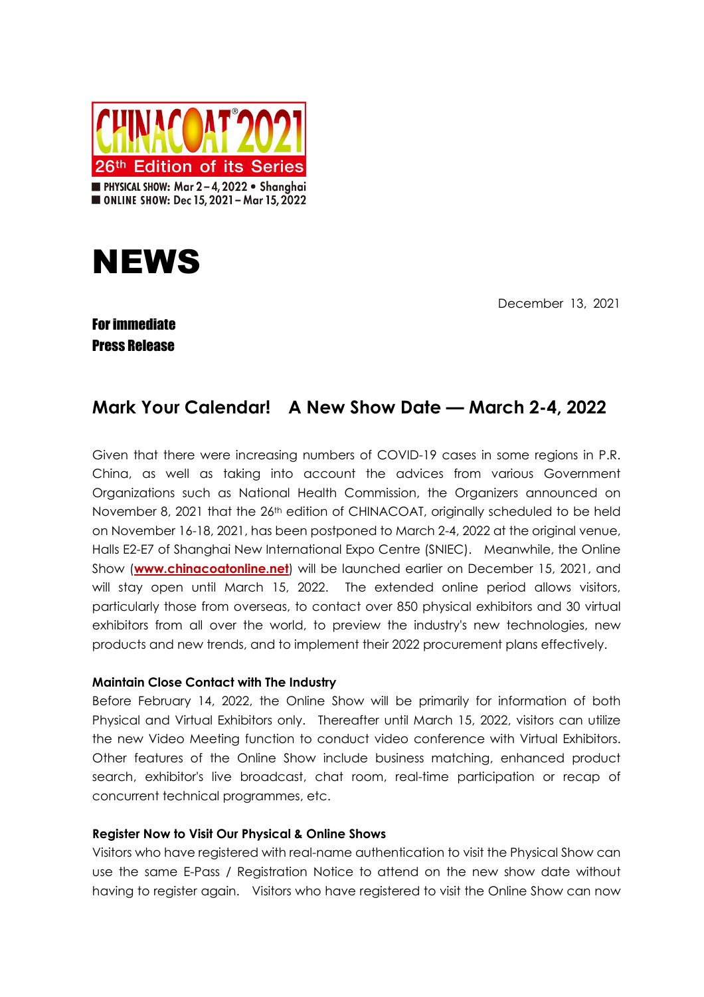



December 13, 2021

## For immediate Press Release

# **Mark Your Calendar! A New Show Date — March 2-4, 2022**

Given that there were increasing numbers of COVID-19 cases in some regions in P.R. China, as well as taking into account the advices from various Government Organizations such as National Health Commission, the Organizers announced on November 8, 2021 that the 26<sup>th</sup> edition of CHINACOAT, originally scheduled to be held on November 16-18, 2021, has been postponed to March 2-4, 2022 at the original venue, Halls E2-E7 of Shanghai New International Expo Centre (SNIEC). Meanwhile, the Online Show (**www.chinacoatonline.net**) will be launched earlier on December 15, 2021, and will stay open until March 15, 2022. The extended online period allows visitors, particularly those from overseas, to contact over 850 physical exhibitors and 30 virtual exhibitors from all over the world, to preview the industry's new technologies, new products and new trends, and to implement their 2022 procurement plans effectively.

### **Maintain Close Contact with The Industry**

Before February 14, 2022, the Online Show will be primarily for information of both Physical and Virtual Exhibitors only. Thereafter until March 15, 2022, visitors can utilize the new Video Meeting function to conduct video conference with Virtual Exhibitors. Other features of the Online Show include business matching, enhanced product search, exhibitor's live broadcast, chat room, real-time participation or recap of concurrent technical programmes, etc.

### **Register Now to Visit Our Physical & Online Shows**

Visitors who have registered with real-name authentication to visit the Physical Show can use the same E-Pass / Registration Notice to attend on the new show date without having to register again. Visitors who have registered to visit the Online Show can now